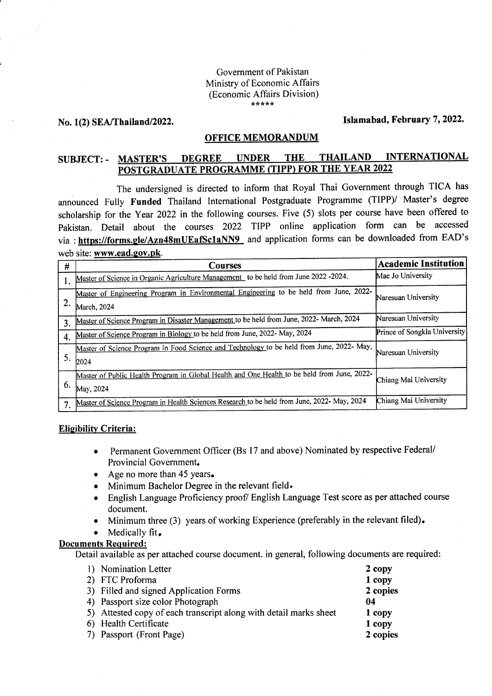# Government of Pakistan Ministry of Economic Affairs (Economic Affairs Division)

## No. 1(2) SEA/Thailand/2022. Islamabad, February 7, 2022.

#### OFFICE MEMORANDUM

#### **INTERNATIONAL DEGREE UNDER THE THAILAND** SUBJECT: - MASTER'S POSTGRADUATE PROGRAMME (TIPP) FOR THE YEAR 2022

The undersigned is directed to inform that Royal Thai Government through TICA has announced Fully Funded Thailand International Postgraduate Programme (TIPP)/ Master's degree scholarship for the Year 2022 in the following courses. Five (5) slots per course have been offered to pakistan. Detail about the courses 2022 TIPP online application form can be accessed via : https://forms.gle/Azn48mUEafSc1aNN9 and application forms can be downloaded from EAD's web site: www.ead.goy.pk.

| #  | Courses                                                                                                  | <b>Academic Institution</b>  |
|----|----------------------------------------------------------------------------------------------------------|------------------------------|
|    | Master of Science in Organic Agriculture Management to be held from June 2022 -2024.                     | Mae Jo University            |
| 2. | Master of Engineering Program in Environmental Engineering to be held from June, 2022-<br>March, 2024    | Naresuan University          |
| 3. | Master of Science Program in Disaster Management to be held from June, 2022- March, 2024                 | Naresuan University          |
| 4. | Master of Science Program in Biology to be held from June, 2022- May, 2024                               | Prince of Songkla University |
| 5. | Master of Science Program in Food Science and Technology to be held from June, 2022- May,<br>2024        | Naresuan University          |
| 6. | Master of Public Health Program in Global Health and One Health to be held from June, 2022-<br>May, 2024 | Chiang Mai University        |
| 7. | Master of Science Program in Health Sciences Research to be held from June, 2022- May, 2024              | Chiang Mai University        |

#### **Eligibility Criteria:**

- o Permanent Covernment Officer (Bs l7 and above) Nominated by respective Federal/ Provincial Government.
- Age no more than 45 years.
- Minimum Bachelor Degree in the relevant field.
- o English Language Proficiency proof/ English Language Test score as per attached course document.
- Minimum three (3) years of working Experience (preferably in the relevant filed).
- Medically fit.

### Documents Reguired:

Detail available as per attached course document. in general, following documents are required:

|            | 1) Nomination Letter                                              | 2 copy   |
|------------|-------------------------------------------------------------------|----------|
|            | 2) FTC Proforma                                                   | 1 copy   |
|            | 3) Filled and signed Application Forms                            | 2 copies |
|            | 4) Passport size color Photograph                                 | 04       |
|            | 5) Attested copy of each transcript along with detail marks sheet | 1 copy   |
|            | 6) Health Certificate                                             | 1 copy   |
| <b>7</b> ) | Passport (Front Page)                                             | 2 copies |